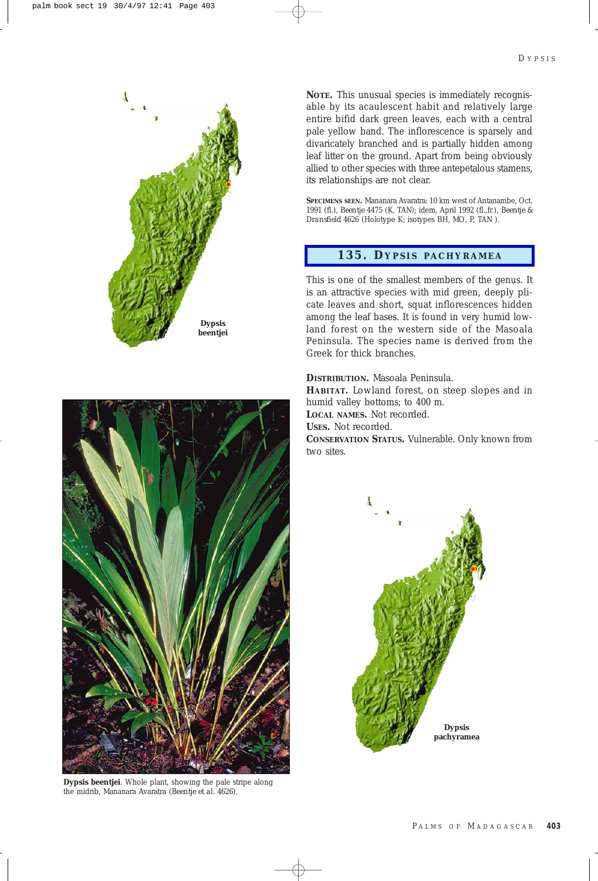

**NOTE.** This unusual species is immediately recognisable by its acaulescent habit and relatively large entire bifid dark green leaves, each with a central pale yellow band. The inflorescence is sparsely and divaricately branched and is partially hidden among leaf litter on the ground. Apart from being obviously allied to other species with three antepetalous stamens, its relationships are not clear.

**SPECIMENS SEEN.** Mananara Avaratra: 10 km west of Antanambe, Oct. 1991 (fl.), *Beentje* 4475 (K, TAN); idem, April 1992 (fl.,fr.), *Beentje & Dransfield* 4626 (Holotype K; isotypes BH, MO, P, TAN ).

## **135. D YPSIS P ACHYRAMEA**

This is one of the smallest members of the genus. It is an attractive species with mid green, deeply plicate leaves and short, squat inflorescences hidden among the leaf bases. It is found in very humid lowland forest on the western side of the Masoala Peninsula. The species name is derived from the Greek for thick branches.

**DISTRIBUTION.** Masoala Peninsula. **HABITAT.** Lowland forest, on steep slopes and in humid valley bottoms; to 400 m. **LOCAL NAMES.** Not recorded. **USES.** Not recorded. **CONSERVATION STATUS.** Vulnerable. Only known from two sites.





**Dypsis beentjei**. Whole plant, showing the pale stripe along the midrib, Mananara Avaratra (*Beentje et al.* 4626).